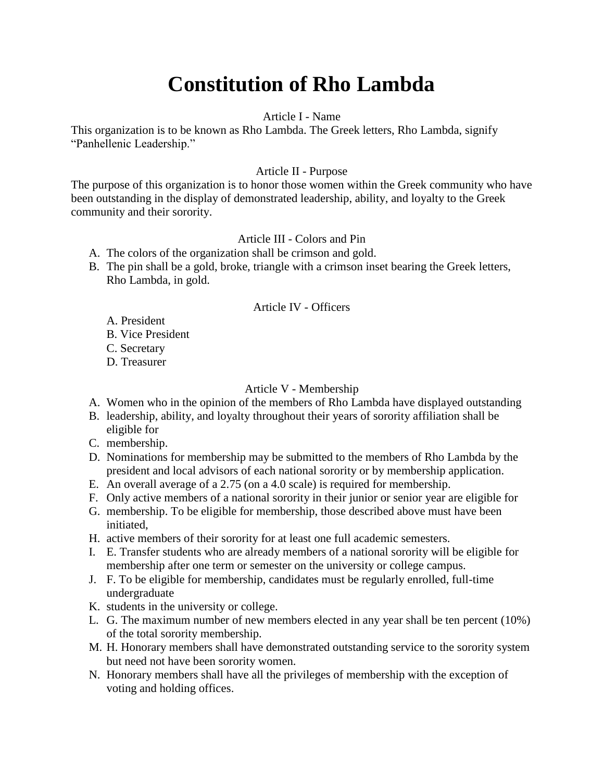# **Constitution of Rho Lambda**

### Article I - Name

This organization is to be known as Rho Lambda. The Greek letters, Rho Lambda, signify "Panhellenic Leadership."

### Article II - Purpose

The purpose of this organization is to honor those women within the Greek community who have been outstanding in the display of demonstrated leadership, ability, and loyalty to the Greek community and their sorority.

### Article III - Colors and Pin

- A. The colors of the organization shall be crimson and gold.
- B. The pin shall be a gold, broke, triangle with a crimson inset bearing the Greek letters, Rho Lambda, in gold.

### Article IV - Officers

- A. President
- B. Vice President
- C. Secretary
- D. Treasurer

### Article V - Membership

- A. Women who in the opinion of the members of Rho Lambda have displayed outstanding
- B. leadership, ability, and loyalty throughout their years of sorority affiliation shall be eligible for
- C. membership.
- D. Nominations for membership may be submitted to the members of Rho Lambda by the president and local advisors of each national sorority or by membership application.
- E. An overall average of a 2.75 (on a 4.0 scale) is required for membership.
- F. Only active members of a national sorority in their junior or senior year are eligible for
- G. membership. To be eligible for membership, those described above must have been initiated,
- H. active members of their sorority for at least one full academic semesters.
- I. E. Transfer students who are already members of a national sorority will be eligible for membership after one term or semester on the university or college campus.
- J. F. To be eligible for membership, candidates must be regularly enrolled, full-time undergraduate
- K. students in the university or college.
- L. G. The maximum number of new members elected in any year shall be ten percent (10%) of the total sorority membership.
- M. H. Honorary members shall have demonstrated outstanding service to the sorority system but need not have been sorority women.
- N. Honorary members shall have all the privileges of membership with the exception of voting and holding offices.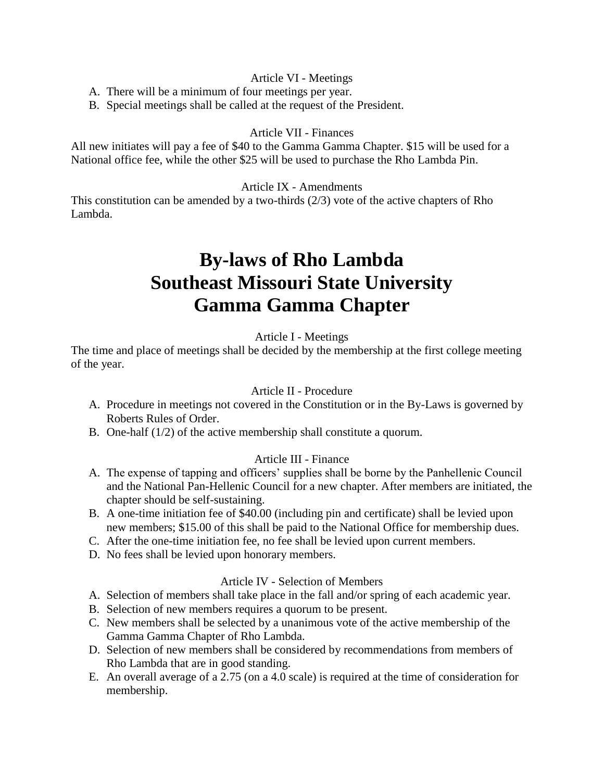## Article VI - Meetings

- A. There will be a minimum of four meetings per year.
- B. Special meetings shall be called at the request of the President.

# Article VII - Finances

All new initiates will pay a fee of \$40 to the Gamma Gamma Chapter. \$15 will be used for a National office fee, while the other \$25 will be used to purchase the Rho Lambda Pin.

### Article IX - Amendments

This constitution can be amended by a two-thirds (2/3) vote of the active chapters of Rho Lambda.

# **By-laws of Rho Lambda Southeast Missouri State University Gamma Gamma Chapter**

## Article I - Meetings

The time and place of meetings shall be decided by the membership at the first college meeting of the year.

### Article II - Procedure

- A. Procedure in meetings not covered in the Constitution or in the By-Laws is governed by Roberts Rules of Order.
- B. One-half (1/2) of the active membership shall constitute a quorum.

### Article III - Finance

- A. The expense of tapping and officers' supplies shall be borne by the Panhellenic Council and the National Pan-Hellenic Council for a new chapter. After members are initiated, the chapter should be self-sustaining.
- B. A one-time initiation fee of \$40.00 (including pin and certificate) shall be levied upon new members; \$15.00 of this shall be paid to the National Office for membership dues.
- C. After the one-time initiation fee, no fee shall be levied upon current members.
- D. No fees shall be levied upon honorary members.

### Article IV - Selection of Members

- A. Selection of members shall take place in the fall and/or spring of each academic year.
- B. Selection of new members requires a quorum to be present.
- C. New members shall be selected by a unanimous vote of the active membership of the Gamma Gamma Chapter of Rho Lambda.
- D. Selection of new members shall be considered by recommendations from members of Rho Lambda that are in good standing.
- E. An overall average of a 2.75 (on a 4.0 scale) is required at the time of consideration for membership.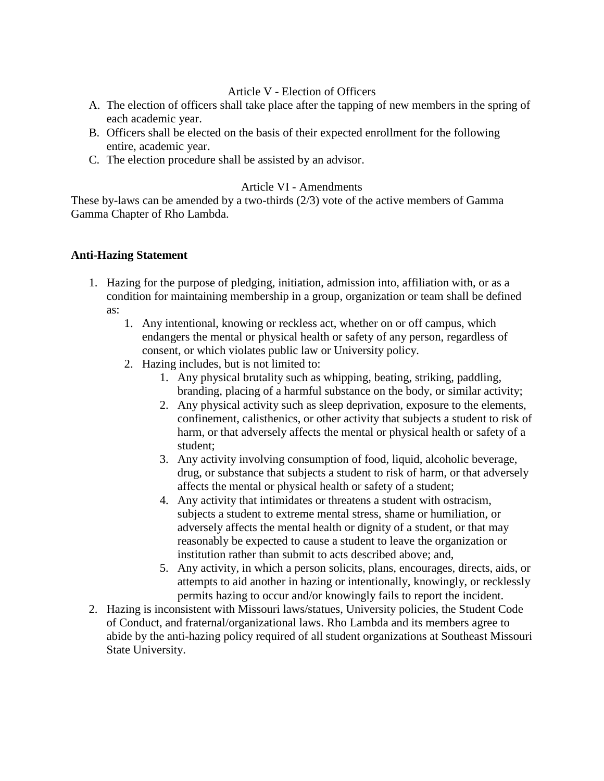# Article V - Election of Officers

- A. The election of officers shall take place after the tapping of new members in the spring of each academic year.
- B. Officers shall be elected on the basis of their expected enrollment for the following entire, academic year.
- C. The election procedure shall be assisted by an advisor.

## Article VI - Amendments

These by-laws can be amended by a two-thirds (2/3) vote of the active members of Gamma Gamma Chapter of Rho Lambda.

### **Anti-Hazing Statement**

- 1. Hazing for the purpose of pledging, initiation, admission into, affiliation with, or as a condition for maintaining membership in a group, organization or team shall be defined as:
	- 1. Any intentional, knowing or reckless act, whether on or off campus, which endangers the mental or physical health or safety of any person, regardless of consent, or which violates public law or University policy.
	- 2. Hazing includes, but is not limited to:
		- 1. Any physical brutality such as whipping, beating, striking, paddling, branding, placing of a harmful substance on the body, or similar activity;
		- 2. Any physical activity such as sleep deprivation, exposure to the elements, confinement, calisthenics, or other activity that subjects a student to risk of harm, or that adversely affects the mental or physical health or safety of a student;
		- 3. Any activity involving consumption of food, liquid, alcoholic beverage, drug, or substance that subjects a student to risk of harm, or that adversely affects the mental or physical health or safety of a student;
		- 4. Any activity that intimidates or threatens a student with ostracism, subjects a student to extreme mental stress, shame or humiliation, or adversely affects the mental health or dignity of a student, or that may reasonably be expected to cause a student to leave the organization or institution rather than submit to acts described above; and,
		- 5. Any activity, in which a person solicits, plans, encourages, directs, aids, or attempts to aid another in hazing or intentionally, knowingly, or recklessly permits hazing to occur and/or knowingly fails to report the incident.
- 2. Hazing is inconsistent with Missouri laws/statues, University policies, the Student Code of Conduct, and fraternal/organizational laws. Rho Lambda and its members agree to abide by the anti-hazing policy required of all student organizations at Southeast Missouri State University.